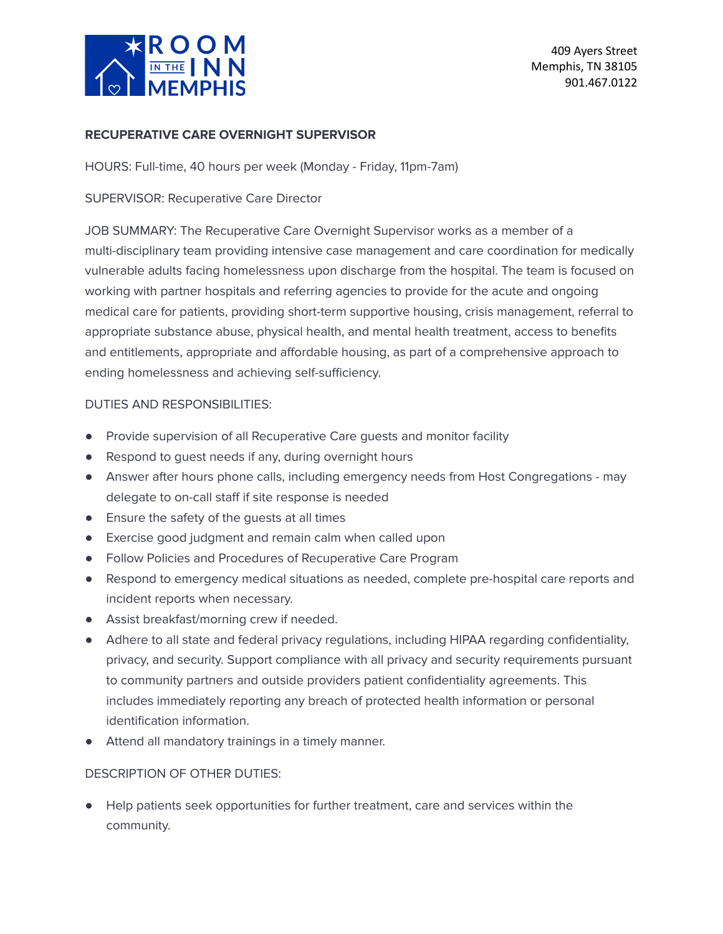

#### **RECUPERATIVE CARE OVERNIGHT SUPERVISOR**

HOURS: Full-time, 40 hours per week (Monday - Friday, 11pm-7am)

## SUPERVISOR: Recuperative Care Director

JOB SUMMARY: The Recuperative Care Overnight Supervisor works as a member of a multi-disciplinary team providing intensive case management and care coordination for medically vulnerable adults facing homelessness upon discharge from the hospital. The team is focused on working with partner hospitals and referring agencies to provide for the acute and ongoing medical care for patients, providing short-term supportive housing, crisis management, referral to appropriate substance abuse, physical health, and mental health treatment, access to benefits and entitlements, appropriate and affordable housing, as part of a comprehensive approach to ending homelessness and achieving self-sufficiency.

### DUTIES AND RESPONSIBILITIES:

- Provide supervision of all Recuperative Care guests and monitor facility
- Respond to quest needs if any, during overnight hours
- Answer after hours phone calls, including emergency needs from Host Congregations may delegate to on-call staff if site response is needed
- Ensure the safety of the guests at all times
- Exercise good judgment and remain calm when called upon
- Follow Policies and Procedures of Recuperative Care Program
- Respond to emergency medical situations as needed, complete pre-hospital care reports and incident reports when necessary.
- Assist breakfast/morning crew if needed.
- Adhere to all state and federal privacy regulations, including HIPAA regarding confidentiality, privacy, and security. Support compliance with all privacy and security requirements pursuant to community partners and outside providers patient confidentiality agreements. This includes immediately reporting any breach of protected health information or personal identification information.
- Attend all mandatory trainings in a timely manner.

#### DESCRIPTION OF OTHER DUTIES:

Help patients seek opportunities for further treatment, care and services within the community.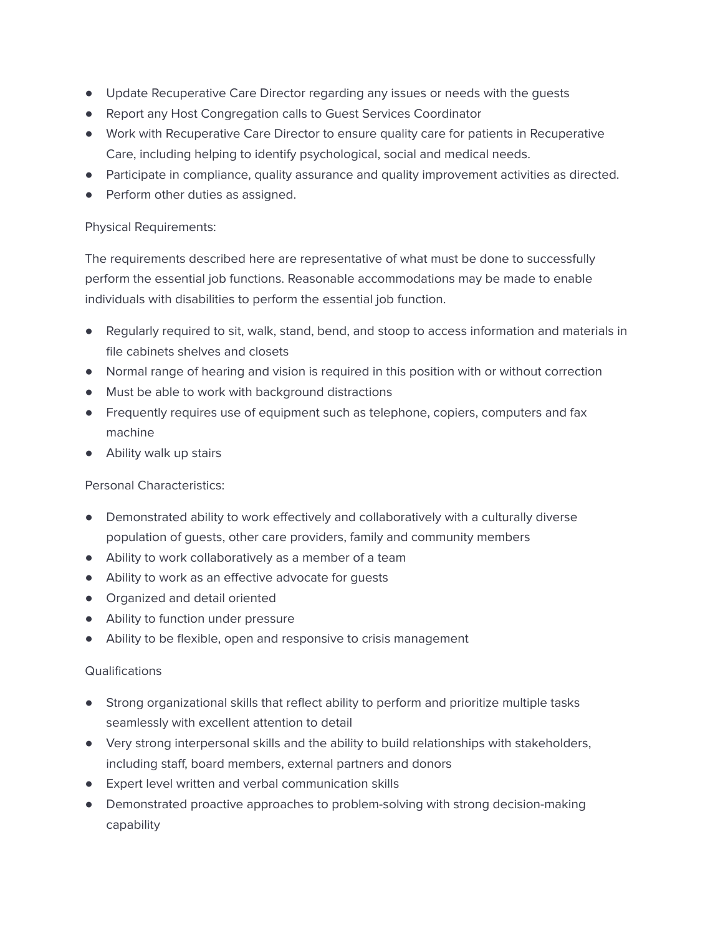- Update Recuperative Care Director regarding any issues or needs with the guests
- Report any Host Congregation calls to Guest Services Coordinator
- Work with Recuperative Care Director to ensure quality care for patients in Recuperative Care, including helping to identify psychological, social and medical needs.
- Participate in compliance, quality assurance and quality improvement activities as directed.
- Perform other duties as assigned.

# Physical Requirements:

The requirements described here are representative of what must be done to successfully perform the essential job functions. Reasonable accommodations may be made to enable individuals with disabilities to perform the essential job function.

- Regularly required to sit, walk, stand, bend, and stoop to access information and materials in file cabinets shelves and closets
- Normal range of hearing and vision is required in this position with or without correction
- Must be able to work with background distractions
- Frequently requires use of equipment such as telephone, copiers, computers and fax machine
- Ability walk up stairs

# Personal Characteristics:

- Demonstrated ability to work effectively and collaboratively with a culturally diverse population of guests, other care providers, family and community members
- Ability to work collaboratively as a member of a team
- Ability to work as an effective advocate for guests
- Organized and detail oriented
- Ability to function under pressure
- Ability to be flexible, open and responsive to crisis management

# **Qualifications**

- Strong organizational skills that reflect ability to perform and prioritize multiple tasks seamlessly with excellent attention to detail
- Very strong interpersonal skills and the ability to build relationships with stakeholders, including staff, board members, external partners and donors
- Expert level written and verbal communication skills
- Demonstrated proactive approaches to problem-solving with strong decision-making capability